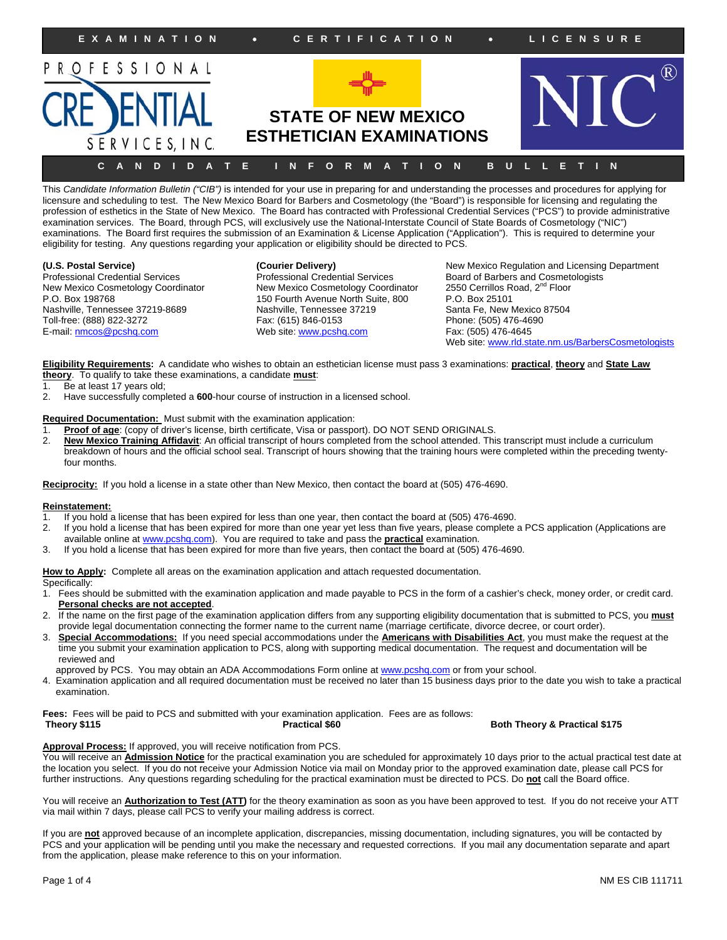

This *Candidate Information Bulletin ("CIB")* is intended for your use in preparing for and understanding the processes and procedures for applying for licensure and scheduling to test. The New Mexico Board for Barbers and Cosmetology (the "Board") is responsible for licensing and regulating the profession of esthetics in the State of New Mexico. The Board has contracted with Professional Credential Services ("PCS") to provide administrative examination services. The Board, through PCS, will exclusively use the National-Interstate Council of State Boards of Cosmetology ("NIC") examinations. The Board first requires the submission of an Examination & License Application ("Application"). This is required to determine your eligibility for testing. Any questions regarding your application or eligibility should be directed to PCS.

New Mexico Cosmetology Coordinator New Mexico Cosmetology Coordinator 2550 Cerrillos R<br>P.O. Box 198768 P.O. Box 25101 Nashville, Tennessee 37219-8689 Nashville, Tennessee 37219 Santa Fe, New Mexico 87504<br>
Toll-free: (888) 822-3272 Fax: (615) 846-0153 Phone: (505) 476-4690 Toll-free: (888) 822-3272 E-mail: nmcos@pcshq.com Web site: www.pcshq.com Fax: (505) 476-4645

150 Fourth Avenue North Suite, 800

**(U.S. Postal Service) (Courier Delivery)** New Mexico Regulation and Licensing Department Professional Credential Services Board of Barbers and Cosmetologists<br>New Mexico Cosmetology Coordinator 2550 Cerrillos Road, 2<sup>nd</sup> Floor Web site: www.rld.state.nm.us/BarbersCosmetologists

**Eligibility Requirements:** A candidate who wishes to obtain an esthetician license must pass 3 examinations: **practical**, **theory** and **State Law theory**. To qualify to take these examinations, a candidate **must**:

- 1. Be at least 17 years old;
- 2. Have successfully completed a **600**-hour course of instruction in a licensed school.

# **Required Documentation:** Must submit with the examination application:<br>1. **Proof of age:** (copy of driver's license, birth certificate, Visa or passpo

- **Proof of age**: (copy of driver's license, birth certificate, Visa or passport). DO NOT SEND ORIGINALS.
- 2. **New Mexico Training Affidavit**: An official transcript of hours completed from the school attended. This transcript must include a curriculum breakdown of hours and the official school seal. Transcript of hours showing that the training hours were completed within the preceding twentyfour months.

**Reciprocity:** If you hold a license in a state other than New Mexico, then contact the board at (505) 476-4690.

#### **Reinstatement:**

- 1. If you hold a license that has been expired for less than one year, then contact the board at (505) 476-4690.
- 2. If you hold a license that has been expired for more than one year yet less than five years, please complete a PCS application (Applications are
- available online at www.pcshq.com). You are required to take and pass the **practical** examination. 3. If you hold a license that has been expired for more than five years, then contact the board at (505) 476-4690.
- 

**How to Apply:** Complete all areas on the examination application and attach requested documentation.

Specifically:

- 1. Fees should be submitted with the examination application and made payable to PCS in the form of a cashier's check, money order, or credit card. **Personal checks are not accepted**.
- 2. If the name on the first page of the examination application differs from any supporting eligibility documentation that is submitted to PCS, you **must** provide legal documentation connecting the former name to the current name (marriage certificate, divorce decree, or court order).
- 3. **Special Accommodations:** If you need special accommodations under the **Americans with Disabilities Act**, you must make the request at the time you submit your examination application to PCS, along with supporting medical documentation. The request and documentation will be reviewed and
- approved by PCS. You may obtain an ADA Accommodations Form online at www.pcshq.com or from your school.
- 4. Examination application and all required documentation must be received no later than 15 business days prior to the date you wish to take a practical examination.

Fees: Fees will be paid to PCS and submitted with your examination application. Fees are as follows:<br>**Practical \$60** 

**Both Theory & Practical \$175** 

### **Approval Process:** If approved, you will receive notification from PCS.

You will receive an **Admission Notice** for the practical examination you are scheduled for approximately 10 days prior to the actual practical test date at the location you select. If you do not receive your Admission Notice via mail on Monday prior to the approved examination date, please call PCS for further instructions. Any questions regarding scheduling for the practical examination must be directed to PCS. Do **not** call the Board office.

You will receive an **Authorization to Test (ATT)** for the theory examination as soon as you have been approved to test. If you do not receive your ATT via mail within 7 days, please call PCS to verify your mailing address is correct.

If you are **not** approved because of an incomplete application, discrepancies, missing documentation, including signatures, you will be contacted by PCS and your application will be pending until you make the necessary and requested corrections. If you mail any documentation separate and apart from the application, please make reference to this on your information.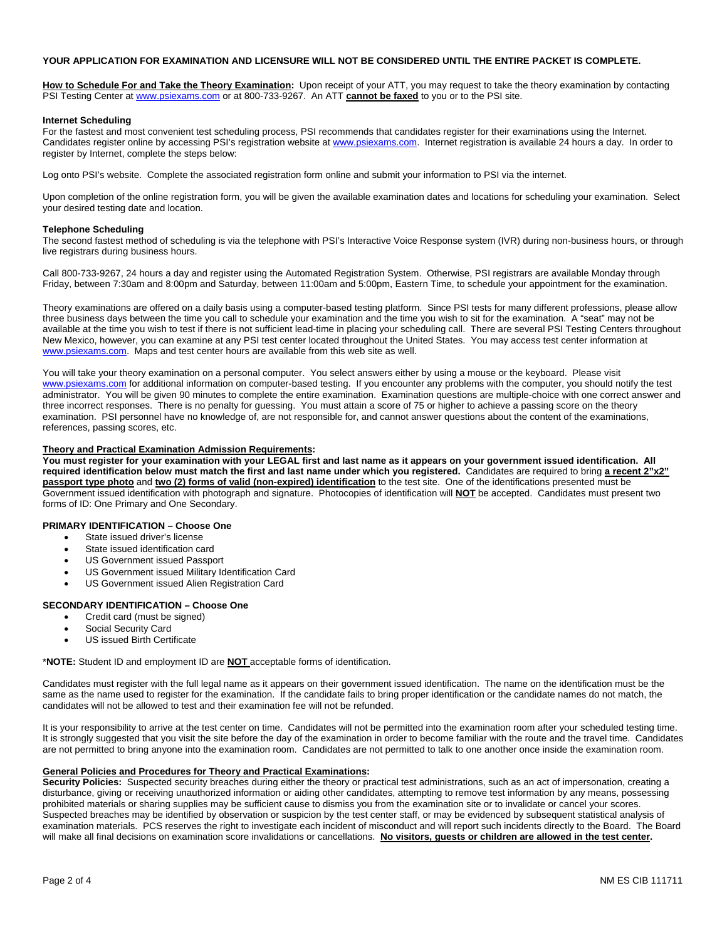#### **YOUR APPLICATION FOR EXAMINATION AND LICENSURE WILL NOT BE CONSIDERED UNTIL THE ENTIRE PACKET IS COMPLETE.**

**How to Schedule For and Take the Theory Examination:** Upon receipt of your ATT, you may request to take the theory examination by contacting PSI Testing Center at www.psiexams.com or at 800-733-9267. An ATT **cannot be faxed** to you or to the PSI site.

#### **Internet Scheduling**

For the fastest and most convenient test scheduling process, PSI recommends that candidates register for their examinations using the Internet. Candidates register online by accessing PSI's registration website at www.psiexams.com. Internet registration is available 24 hours a day. In order to register by Internet, complete the steps below:

Log onto PSI's website. Complete the associated registration form online and submit your information to PSI via the internet.

Upon completion of the online registration form, you will be given the available examination dates and locations for scheduling your examination. Select your desired testing date and location.

#### **Telephone Scheduling**

The second fastest method of scheduling is via the telephone with PSI's Interactive Voice Response system (IVR) during non-business hours, or through live registrars during business hours.

Call 800-733-9267, 24 hours a day and register using the Automated Registration System. Otherwise, PSI registrars are available Monday through Friday, between 7:30am and 8:00pm and Saturday, between 11:00am and 5:00pm, Eastern Time, to schedule your appointment for the examination.

Theory examinations are offered on a daily basis using a computer-based testing platform. Since PSI tests for many different professions, please allow three business days between the time you call to schedule your examination and the time you wish to sit for the examination. A "seat" may not be available at the time you wish to test if there is not sufficient lead-time in placing your scheduling call. There are several PSI Testing Centers throughout New Mexico, however, you can examine at any PSI test center located throughout the United States. You may access test center information at www.psiexams.com. Maps and test center hours are available from this web site as well.

You will take your theory examination on a personal computer. You select answers either by using a mouse or the keyboard. Please visit www.psiexams.com for additional information on computer-based testing. If you encounter any problems with the computer, you should notify the test administrator. You will be given 90 minutes to complete the entire examination. Examination questions are multiple-choice with one correct answer and three incorrect responses. There is no penalty for guessing. You must attain a score of 75 or higher to achieve a passing score on the theory examination. PSI personnel have no knowledge of, are not responsible for, and cannot answer questions about the content of the examinations, references, passing scores, etc.

### **Theory and Practical Examination Admission Requirements:**

**You must register for your examination with your LEGAL first and last name as it appears on your government issued identification. All required identification below must match the first and last name under which you registered.** Candidates are required to bring **a recent 2"x2" passport type photo** and **two (2) forms of valid (non-expired) identification** to the test site. One of the identifications presented must be Government issued identification with photograph and signature. Photocopies of identification will **NOT** be accepted. Candidates must present two forms of ID: One Primary and One Secondary.

#### **PRIMARY IDENTIFICATION – Choose One**

- State issued driver's license
- State issued identification card
- US Government issued Passport
- US Government issued Military Identification Card
- US Government issued Alien Registration Card

### **SECONDARY IDENTIFICATION – Choose One**

- Credit card (must be signed)
- Social Security Card
- US issued Birth Certificate

\***NOTE:** Student ID and employment ID are **NOT** acceptable forms of identification.

Candidates must register with the full legal name as it appears on their government issued identification. The name on the identification must be the same as the name used to register for the examination. If the candidate fails to bring proper identification or the candidate names do not match, the candidates will not be allowed to test and their examination fee will not be refunded.

It is your responsibility to arrive at the test center on time. Candidates will not be permitted into the examination room after your scheduled testing time. It is strongly suggested that you visit the site before the day of the examination in order to become familiar with the route and the travel time. Candidates are not permitted to bring anyone into the examination room. Candidates are not permitted to talk to one another once inside the examination room.

#### **General Policies and Procedures for Theory and Practical Examinations:**

**Security Policies:** Suspected security breaches during either the theory or practical test administrations, such as an act of impersonation, creating a disturbance, giving or receiving unauthorized information or aiding other candidates, attempting to remove test information by any means, possessing prohibited materials or sharing supplies may be sufficient cause to dismiss you from the examination site or to invalidate or cancel your scores. Suspected breaches may be identified by observation or suspicion by the test center staff, or may be evidenced by subsequent statistical analysis of examination materials. PCS reserves the right to investigate each incident of misconduct and will report such incidents directly to the Board. The Board will make all final decisions on examination score invalidations or cancellations. **No visitors, guests or children are allowed in the test center.**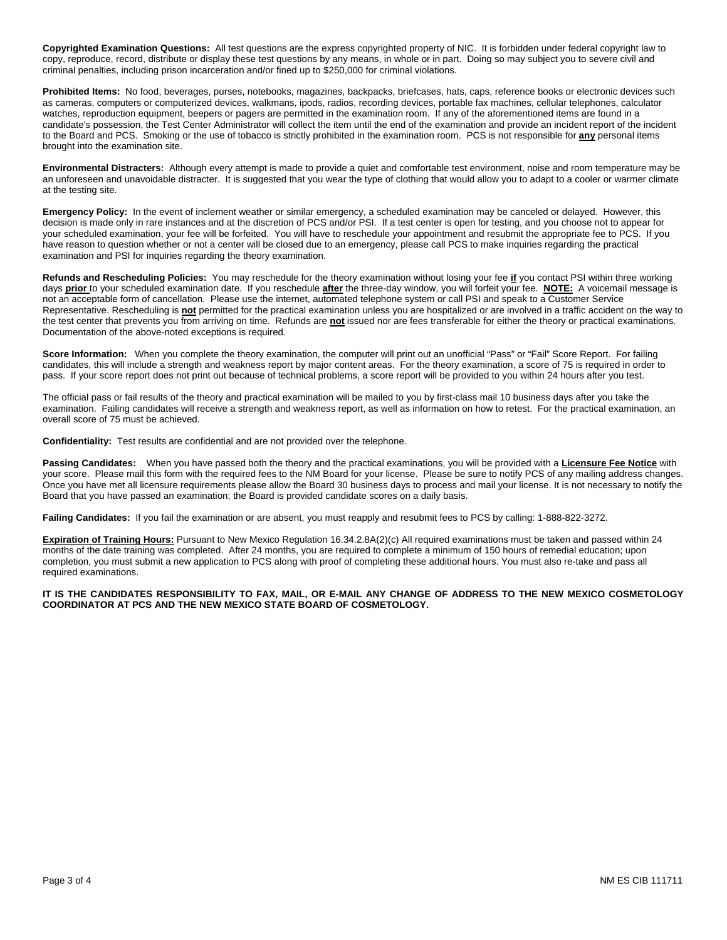**Copyrighted Examination Questions:** All test questions are the express copyrighted property of NIC. It is forbidden under federal copyright law to copy, reproduce, record, distribute or display these test questions by any means, in whole or in part. Doing so may subject you to severe civil and criminal penalties, including prison incarceration and/or fined up to \$250,000 for criminal violations.

**Prohibited Items:** No food, beverages, purses, notebooks, magazines, backpacks, briefcases, hats, caps, reference books or electronic devices such as cameras, computers or computerized devices, walkmans, ipods, radios, recording devices, portable fax machines, cellular telephones, calculator watches, reproduction equipment, beepers or pagers are permitted in the examination room. If any of the aforementioned items are found in a candidate's possession, the Test Center Administrator will collect the item until the end of the examination and provide an incident report of the incident to the Board and PCS. Smoking or the use of tobacco is strictly prohibited in the examination room. PCS is not responsible for **any** personal items brought into the examination site.

**Environmental Distracters:** Although every attempt is made to provide a quiet and comfortable test environment, noise and room temperature may be an unforeseen and unavoidable distracter. It is suggested that you wear the type of clothing that would allow you to adapt to a cooler or warmer climate at the testing site.

**Emergency Policy:** In the event of inclement weather or similar emergency, a scheduled examination may be canceled or delayed. However, this decision is made only in rare instances and at the discretion of PCS and/or PSI. If a test center is open for testing, and you choose not to appear for your scheduled examination, your fee will be forfeited. You will have to reschedule your appointment and resubmit the appropriate fee to PCS. If you have reason to question whether or not a center will be closed due to an emergency, please call PCS to make inquiries regarding the practical examination and PSI for inquiries regarding the theory examination.

**Refunds and Rescheduling Policies:** You may reschedule for the theory examination without losing your fee **if** you contact PSI within three working days **prior** to your scheduled examination date. If you reschedule **after** the three-day window, you will forfeit your fee. **NOTE:** A voicemail message is not an acceptable form of cancellation. Please use the internet, automated telephone system or call PSI and speak to a Customer Service Representative. Rescheduling is **not** permitted for the practical examination unless you are hospitalized or are involved in a traffic accident on the way to the test center that prevents you from arriving on time. Refunds are **not** issued nor are fees transferable for either the theory or practical examinations. Documentation of the above-noted exceptions is required.

**Score Information:** When you complete the theory examination, the computer will print out an unofficial "Pass" or "Fail" Score Report. For failing candidates, this will include a strength and weakness report by major content areas. For the theory examination, a score of 75 is required in order to pass. If your score report does not print out because of technical problems, a score report will be provided to you within 24 hours after you test.

The official pass or fail results of the theory and practical examination will be mailed to you by first-class mail 10 business days after you take the examination. Failing candidates will receive a strength and weakness report, as well as information on how to retest. For the practical examination, an overall score of 75 must be achieved.

**Confidentiality:** Test results are confidential and are not provided over the telephone.

Passing Candidates: When you have passed both the theory and the practical examinations, you will be provided with a **Licensure Fee Notice** with your score. Please mail this form with the required fees to the NM Board for your license. Please be sure to notify PCS of any mailing address changes. Once you have met all licensure requirements please allow the Board 30 business days to process and mail your license. It is not necessary to notify the Board that you have passed an examination; the Board is provided candidate scores on a daily basis.

**Failing Candidates:** If you fail the examination or are absent, you must reapply and resubmit fees to PCS by calling: 1-888-822-3272.

**Expiration of Training Hours:** Pursuant to New Mexico Regulation 16.34.2.8A(2)(c) All required examinations must be taken and passed within 24 months of the date training was completed. After 24 months, you are required to complete a minimum of 150 hours of remedial education; upon completion, you must submit a new application to PCS along with proof of completing these additional hours. You must also re-take and pass all required examinations.

### **IT IS THE CANDIDATES RESPONSIBILITY TO FAX, MAIL, OR E-MAIL ANY CHANGE OF ADDRESS TO THE NEW MEXICO COSMETOLOGY COORDINATOR AT PCS AND THE NEW MEXICO STATE BOARD OF COSMETOLOGY.**